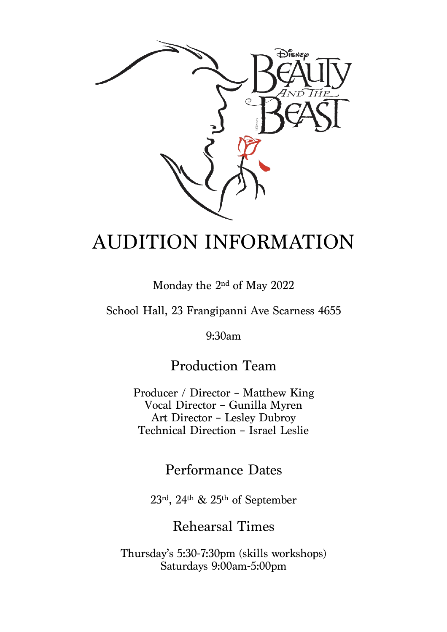

# AUDITION INFORMATION

Monday the 2nd of May 2022

School Hall, 23 Frangipanni Ave Scarness 4655

9:30am

Production Team

Producer / Director – Matthew King Vocal Director – Gunilla Myren Art Director – Lesley Dubroy Technical Direction – Israel Leslie

#### Performance Dates

23rd, 24th & 25th of September

Rehearsal Times

Thursday's 5:30-7:30pm (skills workshops) Saturdays 9:00am-5:00pm